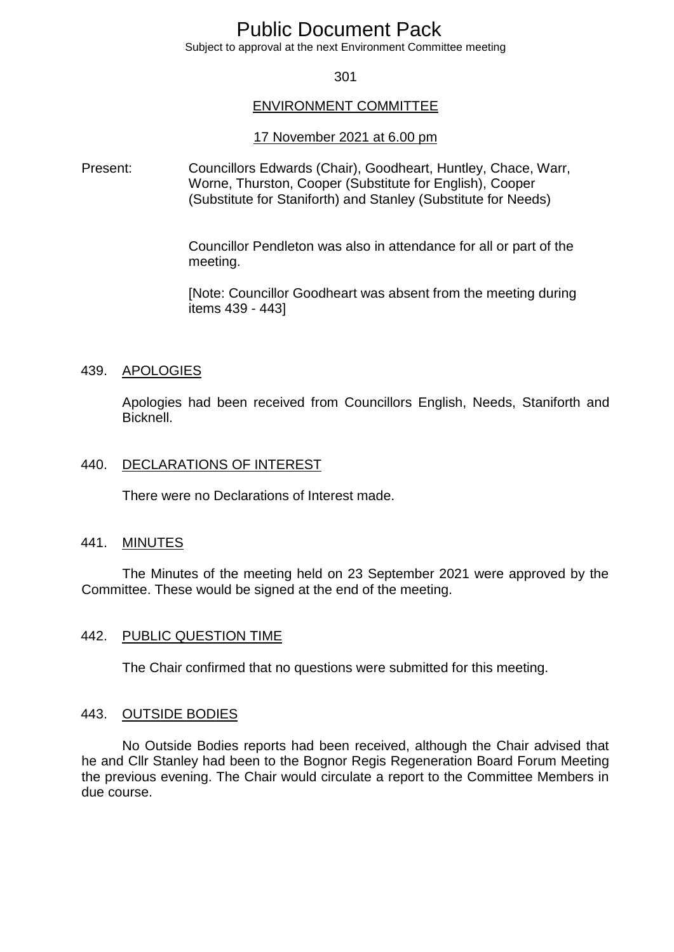# Public Document Pack

Subject to approval at the next Environment Committee meeting

#### 301

#### ENVIRONMENT COMMITTEE

#### 17 November 2021 at 6.00 pm

Present: Councillors Edwards (Chair), Goodheart, Huntley, Chace, Warr, Worne, Thurston, Cooper (Substitute for English), Cooper (Substitute for Staniforth) and Stanley (Substitute for Needs)

> Councillor Pendleton was also in attendance for all or part of the meeting.

> [Note: Councillor Goodheart was absent from the meeting during items 439 - 443]

#### 439. APOLOGIES

Apologies had been received from Councillors English, Needs, Staniforth and Bicknell.

## 440. DECLARATIONS OF INTEREST

There were no Declarations of Interest made.

#### 441. MINUTES

The Minutes of the meeting held on 23 September 2021 were approved by the Committee. These would be signed at the end of the meeting.

#### 442. PUBLIC QUESTION TIME

The Chair confirmed that no questions were submitted for this meeting.

#### 443. OUTSIDE BODIES

No Outside Bodies reports had been received, although the Chair advised that he and Cllr Stanley had been to the Bognor Regis Regeneration Board Forum Meeting the previous evening. The Chair would circulate a report to the Committee Members in due course.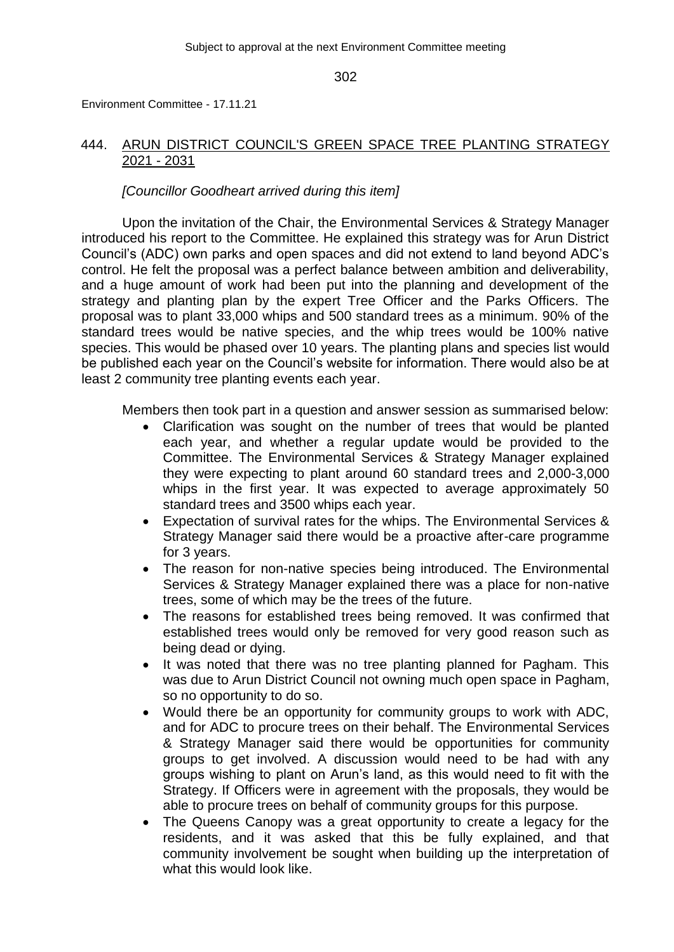Environment Committee - 17.11.21

# 444. ARUN DISTRICT COUNCIL'S GREEN SPACE TREE PLANTING STRATEGY 2021 - 2031

# *[Councillor Goodheart arrived during this item]*

Upon the invitation of the Chair, the Environmental Services & Strategy Manager introduced his report to the Committee. He explained this strategy was for Arun District Council's (ADC) own parks and open spaces and did not extend to land beyond ADC's control. He felt the proposal was a perfect balance between ambition and deliverability, and a huge amount of work had been put into the planning and development of the strategy and planting plan by the expert Tree Officer and the Parks Officers. The proposal was to plant 33,000 whips and 500 standard trees as a minimum. 90% of the standard trees would be native species, and the whip trees would be 100% native species. This would be phased over 10 years. The planting plans and species list would be published each year on the Council's website for information. There would also be at least 2 community tree planting events each year.

Members then took part in a question and answer session as summarised below:

- Clarification was sought on the number of trees that would be planted each year, and whether a regular update would be provided to the Committee. The Environmental Services & Strategy Manager explained they were expecting to plant around 60 standard trees and 2,000-3,000 whips in the first year. It was expected to average approximately 50 standard trees and 3500 whips each year.
- Expectation of survival rates for the whips. The Environmental Services & Strategy Manager said there would be a proactive after-care programme for 3 years.
- The reason for non-native species being introduced. The Environmental Services & Strategy Manager explained there was a place for non-native trees, some of which may be the trees of the future.
- The reasons for established trees being removed. It was confirmed that established trees would only be removed for very good reason such as being dead or dying.
- It was noted that there was no tree planting planned for Pagham. This was due to Arun District Council not owning much open space in Pagham, so no opportunity to do so.
- Would there be an opportunity for community groups to work with ADC, and for ADC to procure trees on their behalf. The Environmental Services & Strategy Manager said there would be opportunities for community groups to get involved. A discussion would need to be had with any groups wishing to plant on Arun's land, as this would need to fit with the Strategy. If Officers were in agreement with the proposals, they would be able to procure trees on behalf of community groups for this purpose.
- The Queens Canopy was a great opportunity to create a legacy for the residents, and it was asked that this be fully explained, and that community involvement be sought when building up the interpretation of what this would look like.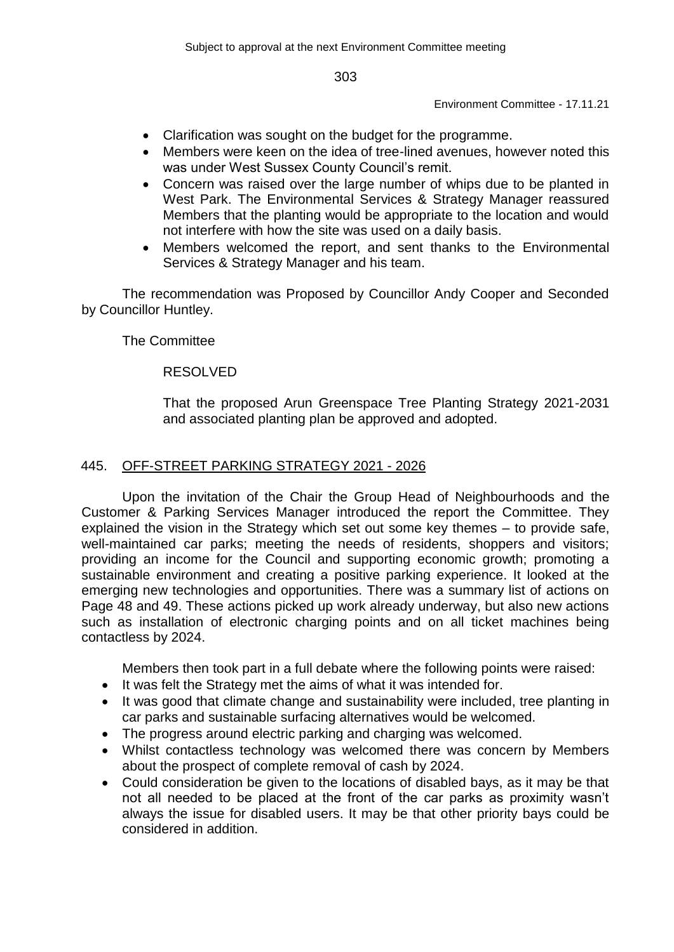Environment Committee - 17.11.21

- Clarification was sought on the budget for the programme.
- Members were keen on the idea of tree-lined avenues, however noted this was under West Sussex County Council's remit.
- Concern was raised over the large number of whips due to be planted in West Park. The Environmental Services & Strategy Manager reassured Members that the planting would be appropriate to the location and would not interfere with how the site was used on a daily basis.
- Members welcomed the report, and sent thanks to the Environmental Services & Strategy Manager and his team.

The recommendation was Proposed by Councillor Andy Cooper and Seconded by Councillor Huntley.

# The Committee

# RESOLVED

That the proposed Arun Greenspace Tree Planting Strategy 2021-2031 and associated planting plan be approved and adopted.

# 445. OFF-STREET PARKING STRATEGY 2021 - 2026

Upon the invitation of the Chair the Group Head of Neighbourhoods and the Customer & Parking Services Manager introduced the report the Committee. They explained the vision in the Strategy which set out some key themes – to provide safe, well-maintained car parks; meeting the needs of residents, shoppers and visitors; providing an income for the Council and supporting economic growth; promoting a sustainable environment and creating a positive parking experience. It looked at the emerging new technologies and opportunities. There was a summary list of actions on Page 48 and 49. These actions picked up work already underway, but also new actions such as installation of electronic charging points and on all ticket machines being contactless by 2024.

Members then took part in a full debate where the following points were raised:

- It was felt the Strategy met the aims of what it was intended for.
- It was good that climate change and sustainability were included, tree planting in car parks and sustainable surfacing alternatives would be welcomed.
- The progress around electric parking and charging was welcomed.
- Whilst contactless technology was welcomed there was concern by Members about the prospect of complete removal of cash by 2024.
- Could consideration be given to the locations of disabled bays, as it may be that not all needed to be placed at the front of the car parks as proximity wasn't always the issue for disabled users. It may be that other priority bays could be considered in addition.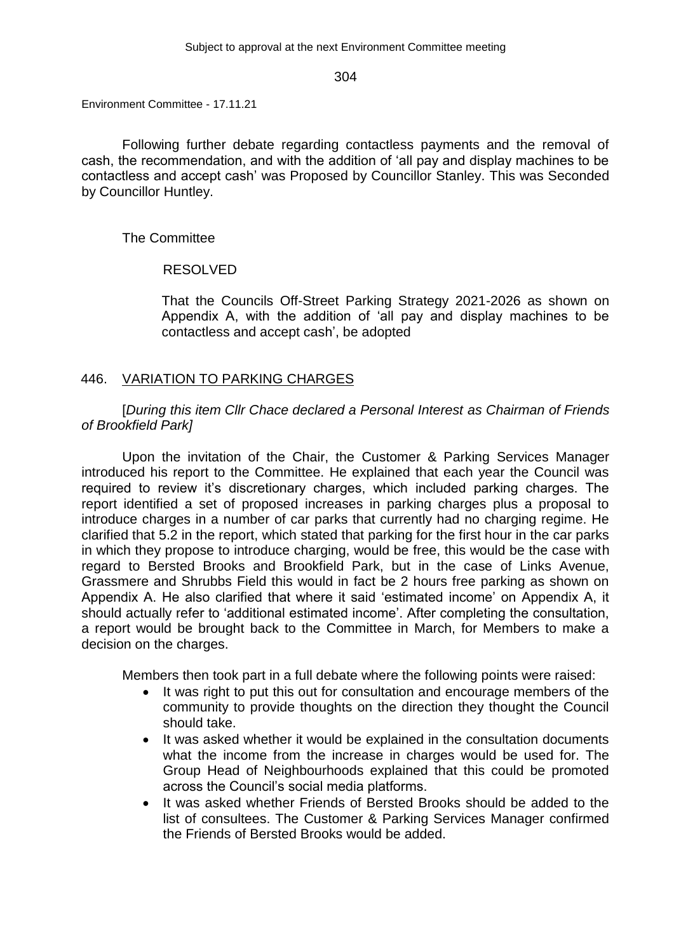Environment Committee - 17.11.21

Following further debate regarding contactless payments and the removal of cash, the recommendation, and with the addition of 'all pay and display machines to be contactless and accept cash' was Proposed by Councillor Stanley. This was Seconded by Councillor Huntley.

## The Committee

## RESOLVED

That the Councils Off-Street Parking Strategy 2021-2026 as shown on Appendix A, with the addition of 'all pay and display machines to be contactless and accept cash', be adopted

# 446. VARIATION TO PARKING CHARGES

[*During this item Cllr Chace declared a Personal Interest as Chairman of Friends of Brookfield Park]*

Upon the invitation of the Chair, the Customer & Parking Services Manager introduced his report to the Committee. He explained that each year the Council was required to review it's discretionary charges, which included parking charges. The report identified a set of proposed increases in parking charges plus a proposal to introduce charges in a number of car parks that currently had no charging regime. He clarified that 5.2 in the report, which stated that parking for the first hour in the car parks in which they propose to introduce charging, would be free, this would be the case with regard to Bersted Brooks and Brookfield Park, but in the case of Links Avenue, Grassmere and Shrubbs Field this would in fact be 2 hours free parking as shown on Appendix A. He also clarified that where it said 'estimated income' on Appendix A, it should actually refer to 'additional estimated income'. After completing the consultation, a report would be brought back to the Committee in March, for Members to make a decision on the charges.

Members then took part in a full debate where the following points were raised:

- It was right to put this out for consultation and encourage members of the community to provide thoughts on the direction they thought the Council should take.
- It was asked whether it would be explained in the consultation documents what the income from the increase in charges would be used for. The Group Head of Neighbourhoods explained that this could be promoted across the Council's social media platforms.
- It was asked whether Friends of Bersted Brooks should be added to the list of consultees. The Customer & Parking Services Manager confirmed the Friends of Bersted Brooks would be added.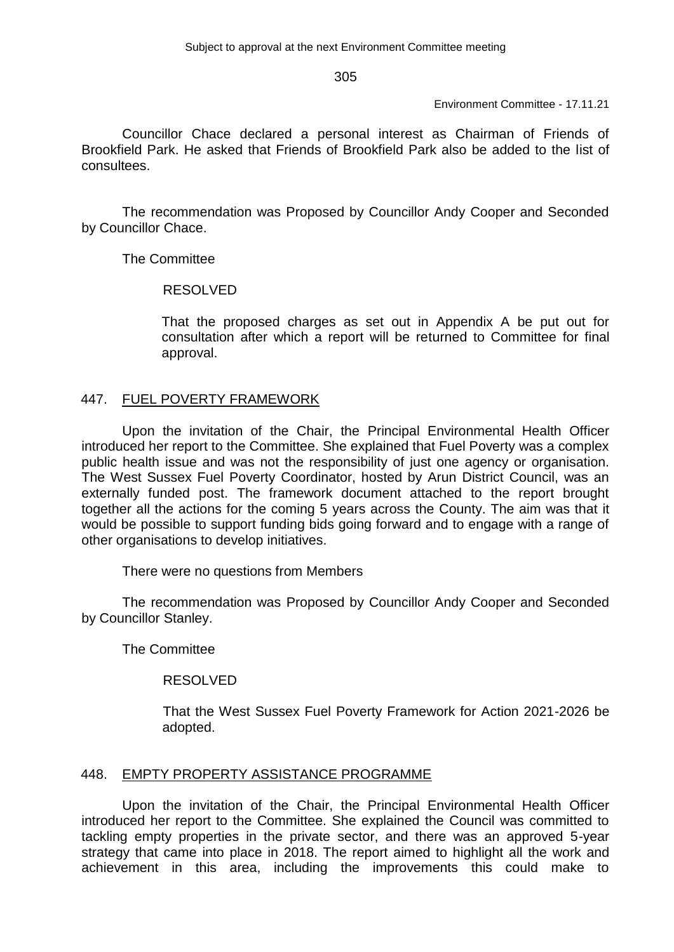Environment Committee - 17.11.21

Councillor Chace declared a personal interest as Chairman of Friends of Brookfield Park. He asked that Friends of Brookfield Park also be added to the list of consultees.

The recommendation was Proposed by Councillor Andy Cooper and Seconded by Councillor Chace.

The Committee

#### RESOLVED

That the proposed charges as set out in Appendix A be put out for consultation after which a report will be returned to Committee for final approval.

## 447. FUEL POVERTY FRAMEWORK

Upon the invitation of the Chair, the Principal Environmental Health Officer introduced her report to the Committee. She explained that Fuel Poverty was a complex public health issue and was not the responsibility of just one agency or organisation. The West Sussex Fuel Poverty Coordinator, hosted by Arun District Council, was an externally funded post. The framework document attached to the report brought together all the actions for the coming 5 years across the County. The aim was that it would be possible to support funding bids going forward and to engage with a range of other organisations to develop initiatives.

There were no questions from Members

The recommendation was Proposed by Councillor Andy Cooper and Seconded by Councillor Stanley.

The Committee

# RESOLVED

That the West Sussex Fuel Poverty Framework for Action 2021-2026 be adopted.

#### 448. EMPTY PROPERTY ASSISTANCE PROGRAMME

Upon the invitation of the Chair, the Principal Environmental Health Officer introduced her report to the Committee. She explained the Council was committed to tackling empty properties in the private sector, and there was an approved 5-year strategy that came into place in 2018. The report aimed to highlight all the work and achievement in this area, including the improvements this could make to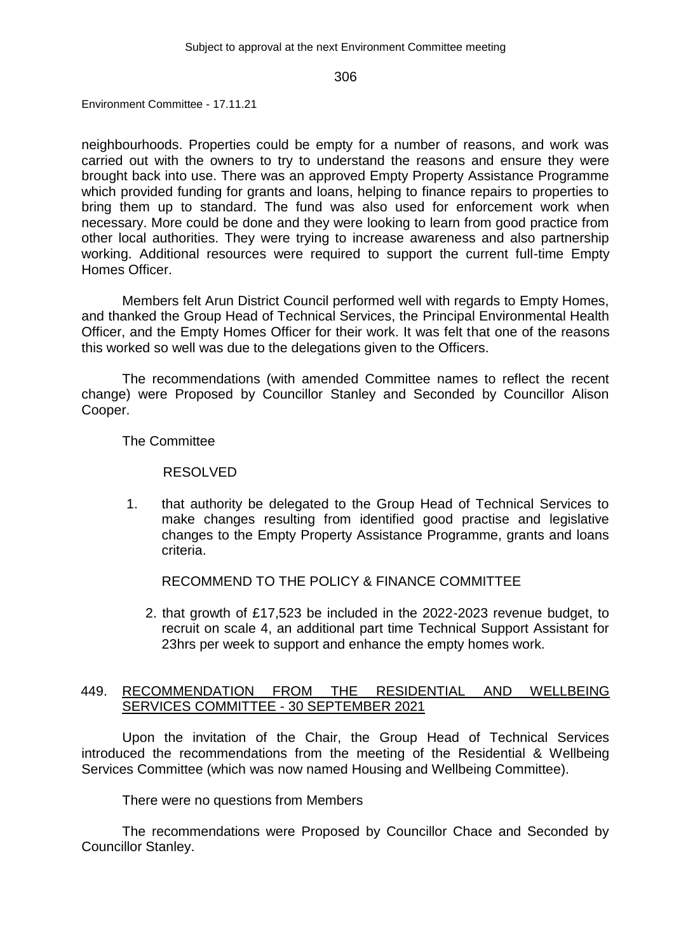Environment Committee - 17.11.21

neighbourhoods. Properties could be empty for a number of reasons, and work was carried out with the owners to try to understand the reasons and ensure they were brought back into use. There was an approved Empty Property Assistance Programme which provided funding for grants and loans, helping to finance repairs to properties to bring them up to standard. The fund was also used for enforcement work when necessary. More could be done and they were looking to learn from good practice from other local authorities. They were trying to increase awareness and also partnership working. Additional resources were required to support the current full-time Empty Homes Officer.

Members felt Arun District Council performed well with regards to Empty Homes, and thanked the Group Head of Technical Services, the Principal Environmental Health Officer, and the Empty Homes Officer for their work. It was felt that one of the reasons this worked so well was due to the delegations given to the Officers.

The recommendations (with amended Committee names to reflect the recent change) were Proposed by Councillor Stanley and Seconded by Councillor Alison Cooper.

The Committee

RESOLVED

1. that authority be delegated to the Group Head of Technical Services to make changes resulting from identified good practise and legislative changes to the Empty Property Assistance Programme, grants and loans criteria.

RECOMMEND TO THE POLICY & FINANCE COMMITTEE

2. that growth of £17,523 be included in the 2022-2023 revenue budget, to recruit on scale 4, an additional part time Technical Support Assistant for 23hrs per week to support and enhance the empty homes work.

## 449. RECOMMENDATION FROM THE RESIDENTIAL AND WELLBEING SERVICES COMMITTEE - 30 SEPTEMBER 2021

Upon the invitation of the Chair, the Group Head of Technical Services introduced the recommendations from the meeting of the Residential & Wellbeing Services Committee (which was now named Housing and Wellbeing Committee).

There were no questions from Members

The recommendations were Proposed by Councillor Chace and Seconded by Councillor Stanley.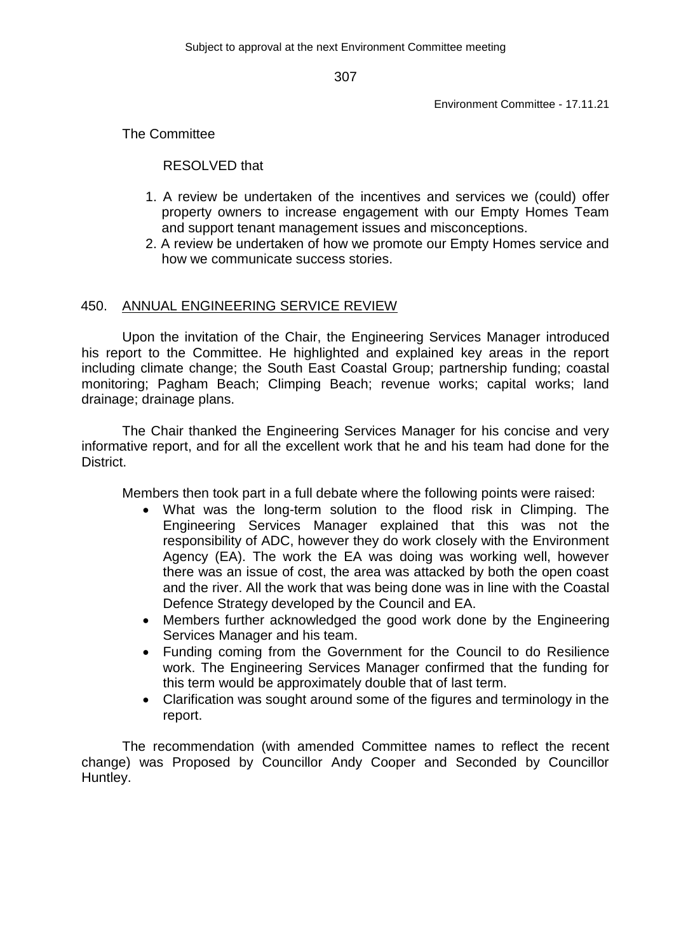Environment Committee - 17.11.21

The Committee

RESOLVED that

- 1. A review be undertaken of the incentives and services we (could) offer property owners to increase engagement with our Empty Homes Team and support tenant management issues and misconceptions.
- 2. A review be undertaken of how we promote our Empty Homes service and how we communicate success stories.

## 450. ANNUAL ENGINEERING SERVICE REVIEW

Upon the invitation of the Chair, the Engineering Services Manager introduced his report to the Committee. He highlighted and explained key areas in the report including climate change; the South East Coastal Group; partnership funding; coastal monitoring; Pagham Beach; Climping Beach; revenue works; capital works; land drainage; drainage plans.

The Chair thanked the Engineering Services Manager for his concise and very informative report, and for all the excellent work that he and his team had done for the District.

Members then took part in a full debate where the following points were raised:

- What was the long-term solution to the flood risk in Climping. The Engineering Services Manager explained that this was not the responsibility of ADC, however they do work closely with the Environment Agency (EA). The work the EA was doing was working well, however there was an issue of cost, the area was attacked by both the open coast and the river. All the work that was being done was in line with the Coastal Defence Strategy developed by the Council and EA.
- Members further acknowledged the good work done by the Engineering Services Manager and his team.
- Funding coming from the Government for the Council to do Resilience work. The Engineering Services Manager confirmed that the funding for this term would be approximately double that of last term.
- Clarification was sought around some of the figures and terminology in the report.

The recommendation (with amended Committee names to reflect the recent change) was Proposed by Councillor Andy Cooper and Seconded by Councillor Huntley.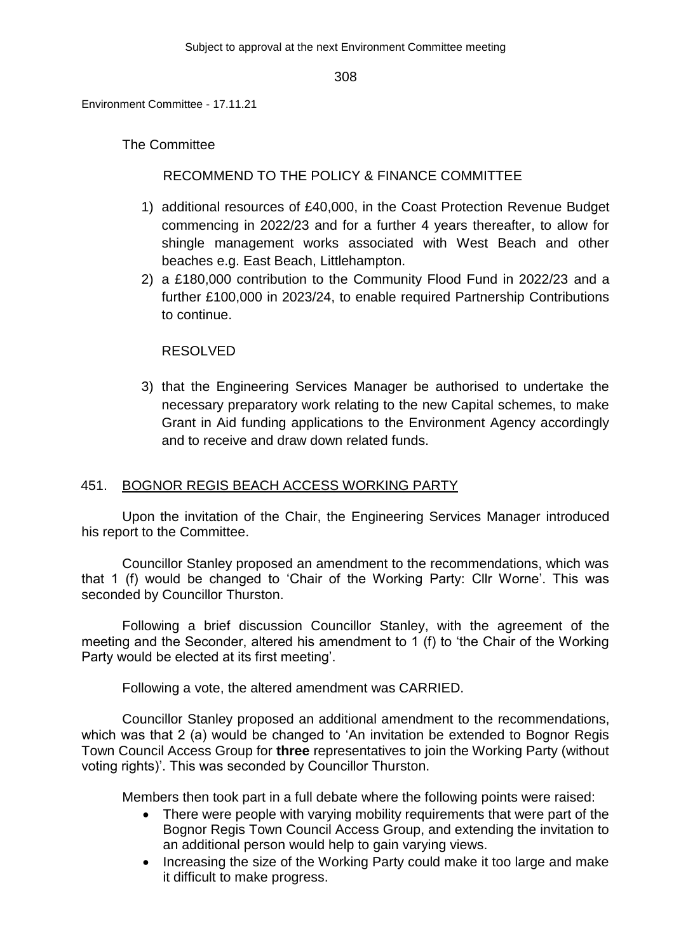Environment Committee - 17.11.21

The Committee

# RECOMMEND TO THE POLICY & FINANCE COMMITTEE

- 1) additional resources of £40,000, in the Coast Protection Revenue Budget commencing in 2022/23 and for a further 4 years thereafter, to allow for shingle management works associated with West Beach and other beaches e.g. East Beach, Littlehampton.
- 2) a £180,000 contribution to the Community Flood Fund in 2022/23 and a further £100,000 in 2023/24, to enable required Partnership Contributions to continue.

# RESOLVED

3) that the Engineering Services Manager be authorised to undertake the necessary preparatory work relating to the new Capital schemes, to make Grant in Aid funding applications to the Environment Agency accordingly and to receive and draw down related funds.

# 451. BOGNOR REGIS BEACH ACCESS WORKING PARTY

Upon the invitation of the Chair, the Engineering Services Manager introduced his report to the Committee.

Councillor Stanley proposed an amendment to the recommendations, which was that 1 (f) would be changed to 'Chair of the Working Party: Cllr Worne'. This was seconded by Councillor Thurston.

Following a brief discussion Councillor Stanley, with the agreement of the meeting and the Seconder, altered his amendment to 1 (f) to 'the Chair of the Working Party would be elected at its first meeting'.

Following a vote, the altered amendment was CARRIED.

Councillor Stanley proposed an additional amendment to the recommendations, which was that 2 (a) would be changed to 'An invitation be extended to Bognor Regis Town Council Access Group for **three** representatives to join the Working Party (without voting rights)'. This was seconded by Councillor Thurston.

Members then took part in a full debate where the following points were raised:

- There were people with varying mobility requirements that were part of the Bognor Regis Town Council Access Group, and extending the invitation to an additional person would help to gain varying views.
- Increasing the size of the Working Party could make it too large and make it difficult to make progress.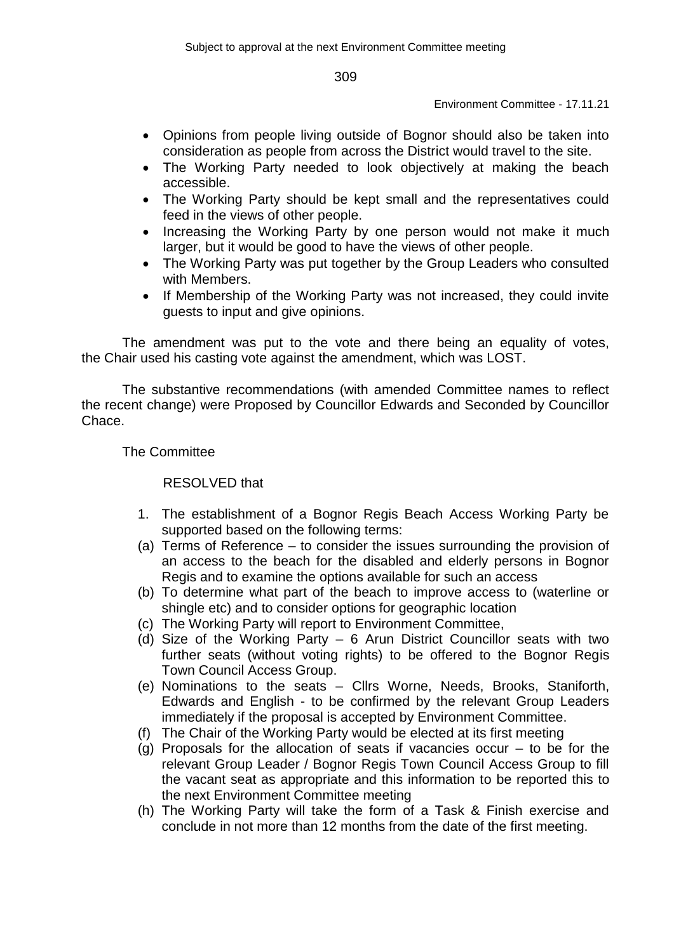#### Environment Committee - 17.11.21

- Opinions from people living outside of Bognor should also be taken into consideration as people from across the District would travel to the site.
- The Working Party needed to look objectively at making the beach accessible.
- The Working Party should be kept small and the representatives could feed in the views of other people.
- Increasing the Working Party by one person would not make it much larger, but it would be good to have the views of other people.
- The Working Party was put together by the Group Leaders who consulted with Members.
- If Membership of the Working Party was not increased, they could invite guests to input and give opinions.

The amendment was put to the vote and there being an equality of votes, the Chair used his casting vote against the amendment, which was LOST.

The substantive recommendations (with amended Committee names to reflect the recent change) were Proposed by Councillor Edwards and Seconded by Councillor Chace.

The Committee

RESOLVED that

- 1. The establishment of a Bognor Regis Beach Access Working Party be supported based on the following terms:
- (a) Terms of Reference to consider the issues surrounding the provision of an access to the beach for the disabled and elderly persons in Bognor Regis and to examine the options available for such an access
- (b) To determine what part of the beach to improve access to (waterline or shingle etc) and to consider options for geographic location
- (c) The Working Party will report to Environment Committee,
- (d) Size of the Working Party 6 Arun District Councillor seats with two further seats (without voting rights) to be offered to the Bognor Regis Town Council Access Group.
- (e) Nominations to the seats Cllrs Worne, Needs, Brooks, Staniforth, Edwards and English - to be confirmed by the relevant Group Leaders immediately if the proposal is accepted by Environment Committee.
- (f) The Chair of the Working Party would be elected at its first meeting
- (g) Proposals for the allocation of seats if vacancies occur  $-$  to be for the relevant Group Leader / Bognor Regis Town Council Access Group to fill the vacant seat as appropriate and this information to be reported this to the next Environment Committee meeting
- (h) The Working Party will take the form of a Task & Finish exercise and conclude in not more than 12 months from the date of the first meeting.